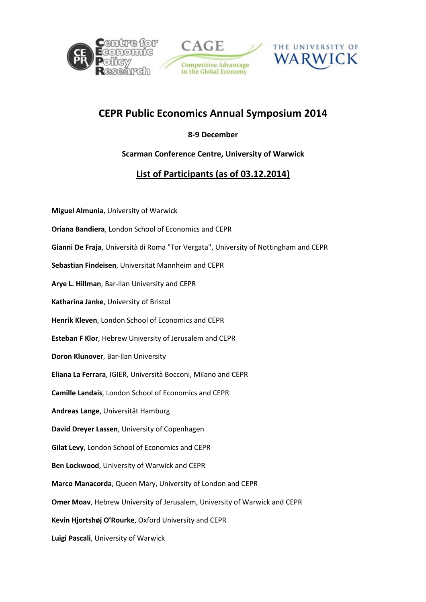





## CEPR Public Economics Annual Symposium 2014

## 8-9 December

## Scarman Conference Centre, University of Warwick

## List of Participants (as of 03.12.2014)

Miguel Almunia, University of Warwick Oriana Bandiera, London School of Economics and CEPR Gianni De Fraja, Università di Roma "Tor Vergata", University of Nottingham and CEPR Sebastian Findeisen, Universität Mannheim and CEPR Arye L. Hillman, Bar-Ilan University and CEPR Katharina Janke, University of Bristol Henrik Kleven, London School of Economics and CEPR Esteban F Klor, Hebrew University of Jerusalem and CEPR Doron Klunover, Bar-Ilan University Eliana La Ferrara, IGIER, Università Bocconi, Milano and CEPR Camille Landais, London School of Economics and CEPR Andreas Lange, Universität Hamburg David Dreyer Lassen, University of Copenhagen Gilat Levy, London School of Economics and CEPR Ben Lockwood, University of Warwick and CEPR Marco Manacorda, Queen Mary, University of London and CEPR Omer Moav, Hebrew University of Jerusalem, University of Warwick and CEPR Kevin Hjortshøj O'Rourke, Oxford University and CEPR Luigi Pascali, University of Warwick